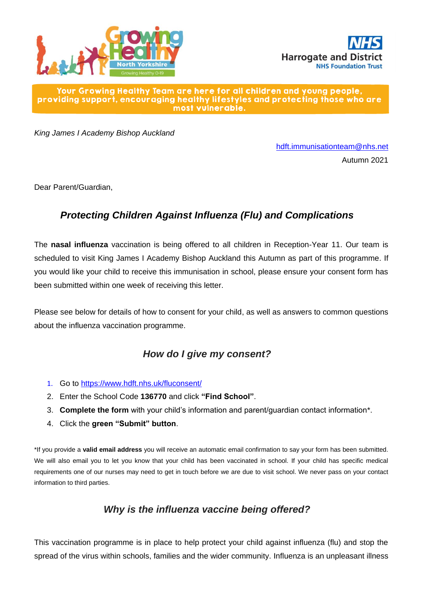



#### Your Growing Healthy Team are here for all children and young people, providing support, encouraging healthy lifestyles and protecting those who are most vulnerable.

*King James I Academy Bishop Auckland*

[hdft.immunisationteam@nhs.net](mailto:hdft.immunisationteam@nhs.net) Autumn 2021

Dear Parent/Guardian,

## *Protecting Children Against Influenza (Flu) and Complications*

The **nasal influenza** vaccination is being offered to all children in Reception-Year 11. Our team is scheduled to visit King James I Academy Bishop Auckland this Autumn as part of this programme. If you would like your child to receive this immunisation in school, please ensure your consent form has been submitted within one week of receiving this letter.

Please see below for details of how to consent for your child, as well as answers to common questions about the influenza vaccination programme.

#### *How do I give my consent?*

- 1. Go to <https://www.hdft.nhs.uk/fluconsent/>
- 2. Enter the School Code **136770** and click **"Find School"**.
- 3. **Complete the form** with your child's information and parent/guardian contact information\*.
- 4. Click the **green "Submit" button**.

\*If you provide a **valid email address** you will receive an automatic email confirmation to say your form has been submitted. We will also email you to let you know that your child has been vaccinated in school. If your child has specific medical requirements one of our nurses may need to get in touch before we are due to visit school. We never pass on your contact information to third parties.

#### *Why is the influenza vaccine being offered?*

This vaccination programme is in place to help protect your child against influenza (flu) and stop the spread of the virus within schools, families and the wider community. Influenza is an unpleasant illness